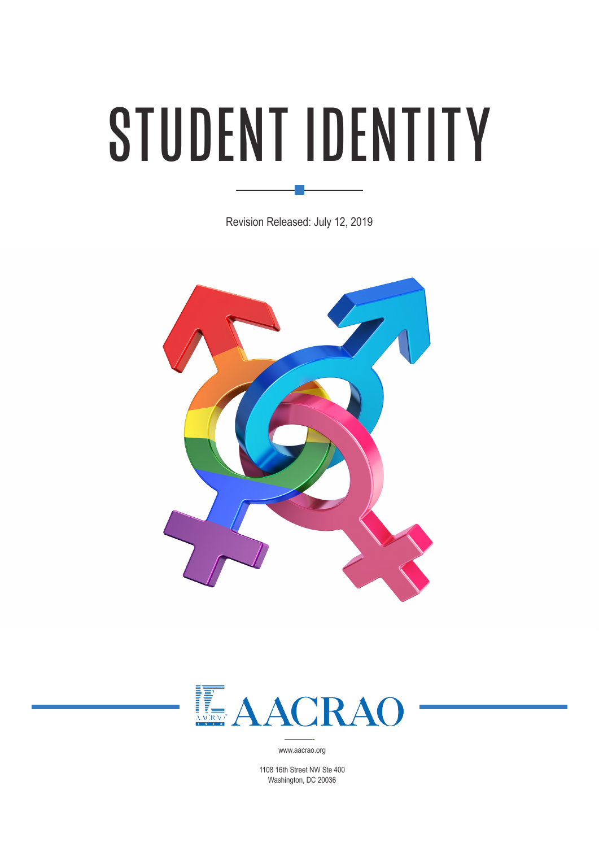# STUDENT IDENTITY

Revision Released: July 12, 2019





www.aacrao.org

1108 16th Street NW Ste 400 Washington, DC 20036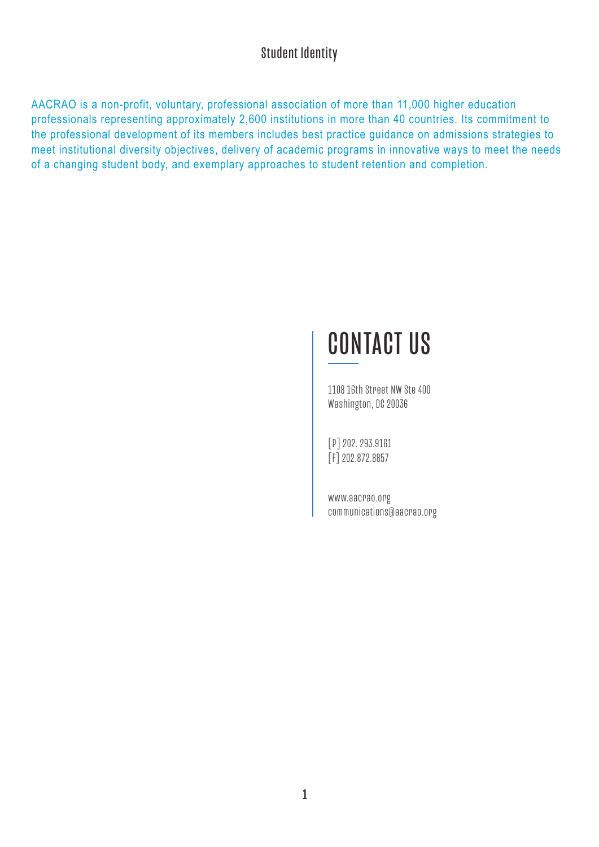AACRAO is a non-profit, voluntary, professional association of more than 11,000 higher education professionals representing approximately 2,600 institutions in more than 40 countries. Its commitment to the professional development of its members includes best practice guidance on admissions strategies to meet institutional diversity objectives, delivery of academic programs in innovative ways to meet the needs of a changing student body, and exemplary approaches to student retention and completion.

# CONTACT US

1108 16th Street NW Ste 400 Washington, DC 20036

[P] 202. 293.9161 [F] 202.872.8857

www.aacrao.org communications@aacrao.org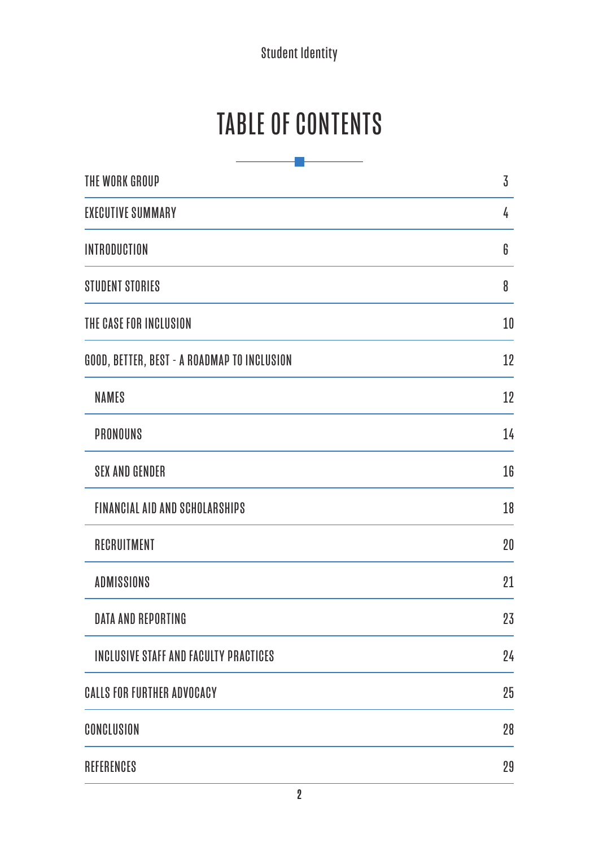# TABLE OF CONTENTS

| THE WORK GROUP                               | $\overline{3}$ |
|----------------------------------------------|----------------|
| <b>EXECUTIVE SUMMARY</b>                     | 4              |
| <b>INTRODUCTION</b>                          | 6              |
| <b>STUDENT STORIES</b>                       | 8              |
| THE CASE FOR INCLUSION                       | 10             |
| GOOD, BETTER, BEST - A ROADMAP TO INCLUSION  | 12             |
| <b>NAMES</b>                                 | 12             |
| <b>PRONOUNS</b>                              | 14             |
| <b>SEX AND GENDER</b>                        | 16             |
| <b>FINANCIAL AID AND SCHOLARSHIPS</b>        | 18             |
| RECRUITMENT                                  | 20             |
| <b>ADMISSIONS</b>                            | 21             |
| <b>DATA AND REPORTING</b>                    | 23             |
| <b>INCLUSIVE STAFF AND FACULTY PRACTICES</b> | 24             |
| <b>CALLS FOR FURTHER ADVOCACY</b>            | 25             |
| CONCLUSION                                   | 28             |
| REFERENCES                                   | 29             |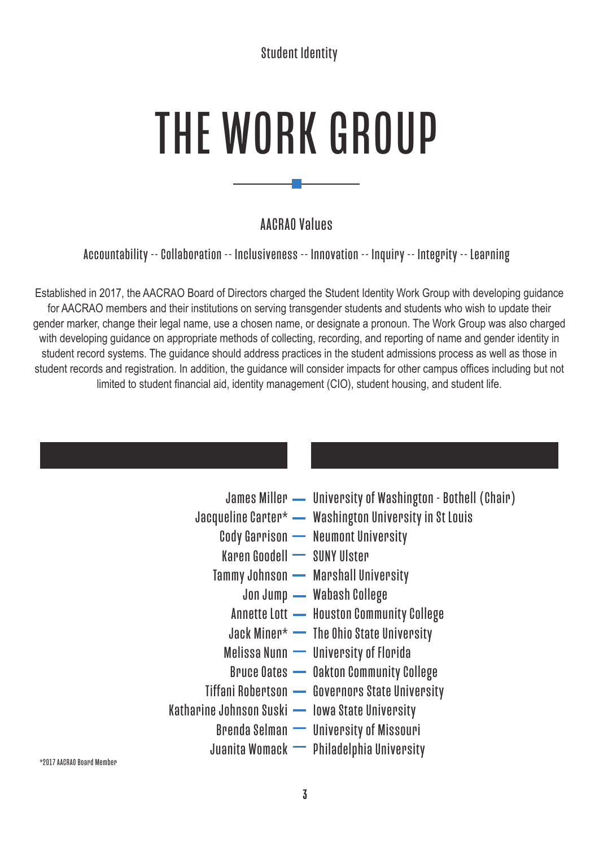# THE WORK GROUP

## AACRAO Values

Accountability -- Collaboration -- Inclusiveness -- Innovation -- Inquiry -- Integrity -- Learning

Established in 2017, the AACRAO Board of Directors charged the Student Identity Work Group with developing guidance for AACRAO members and their institutions on serving transgender students and students who wish to update their gender marker, change their legal name, use a chosen name, or designate a pronoun. The Work Group was also charged with developing guidance on appropriate methods of collecting, recording, and reporting of name and gender identity in student record systems. The guidance should address practices in the student admissions process as well as those in student records and registration. In addition, the guidance will consider impacts for other campus offices including but not limited to student financial aid, identity management (CIO), student housing, and student life.

|                                                 | James Miller — University of Washington - Bothell (Chair) |
|-------------------------------------------------|-----------------------------------------------------------|
|                                                 | Jacqueline Carter* - Washington University in St Louis    |
|                                                 | Cody Garrison - Neumont University                        |
| Karen Goodell - SUNY Ulster                     |                                                           |
|                                                 | Tammy Johnson - Marshall University                       |
|                                                 | Jon Jump - Wabash College                                 |
|                                                 | Annette Lott - Houston Community College                  |
|                                                 | Jack Miner* — The Ohio State University                   |
|                                                 | Melissa Nunn - University of Florida                      |
|                                                 | <b>Bruce Oates - Oakton Community College</b>             |
|                                                 | Tiffani Robertson - Governors State University            |
| Katharine Johnson Suski - Iowa State University |                                                           |
|                                                 | Brenda Selman - University of Missouri                    |
|                                                 | Juanita Womack - Philadelphia University                  |
|                                                 |                                                           |

\*2017 AACRAO Board Member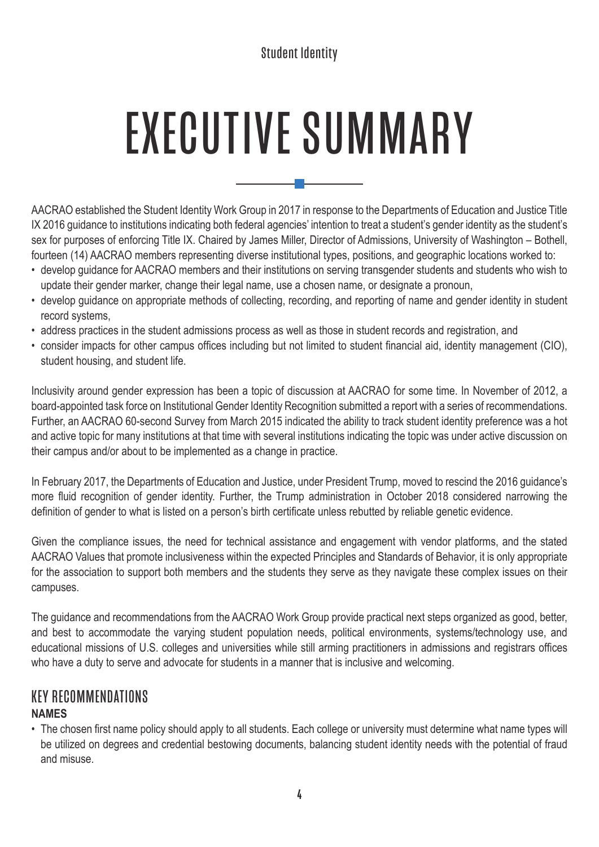# EXECUTIVE SUMMARY

AACRAO established the Student Identity Work Group in 2017 in response to the Departments of Education and Justice Title IX 2016 guidance to institutions indicating both federal agencies' intention to treat a student's gender identity as the student's sex for purposes of enforcing Title IX. Chaired by James Miller, Director of Admissions, University of Washington – Bothell, fourteen (14) AACRAO members representing diverse institutional types, positions, and geographic locations worked to:

- develop guidance for AACRAO members and their institutions on serving transgender students and students who wish to update their gender marker, change their legal name, use a chosen name, or designate a pronoun,
- develop guidance on appropriate methods of collecting, recording, and reporting of name and gender identity in student record systems,
- address practices in the student admissions process as well as those in student records and registration, and
- consider impacts for other campus offices including but not limited to student financial aid, identity management (CIO), student housing, and student life.

Inclusivity around gender expression has been a topic of discussion at AACRAO for some time. In November of 2012, a board-appointed task force on Institutional Gender Identity Recognition submitted a report with a series of recommendations. Further, an AACRAO 60-second Survey from March 2015 indicated the ability to track student identity preference was a hot and active topic for many institutions at that time with several institutions indicating the topic was under active discussion on their campus and/or about to be implemented as a change in practice.

In February 2017, the Departments of Education and Justice, under President Trump, moved to rescind the 2016 guidance's more fluid recognition of gender identity. Further, the Trump administration in October 2018 considered narrowing the definition of gender to what is listed on a person's birth certificate unless rebutted by reliable genetic evidence.

Given the compliance issues, the need for technical assistance and engagement with vendor platforms, and the stated AACRAO Values that promote inclusiveness within the expected Principles and Standards of Behavior, it is only appropriate for the association to support both members and the students they serve as they navigate these complex issues on their campuses.

The guidance and recommendations from the AACRAO Work Group provide practical next steps organized as good, better, and best to accommodate the varying student population needs, political environments, systems/technology use, and educational missions of U.S. colleges and universities while still arming practitioners in admissions and registrars offices who have a duty to serve and advocate for students in a manner that is inclusive and welcoming.

#### KEY RECOMMENDATIONS **NAMES**

• The chosen first name policy should apply to all students. Each college or university must determine what name types will be utilized on degrees and credential bestowing documents, balancing student identity needs with the potential of fraud and misuse.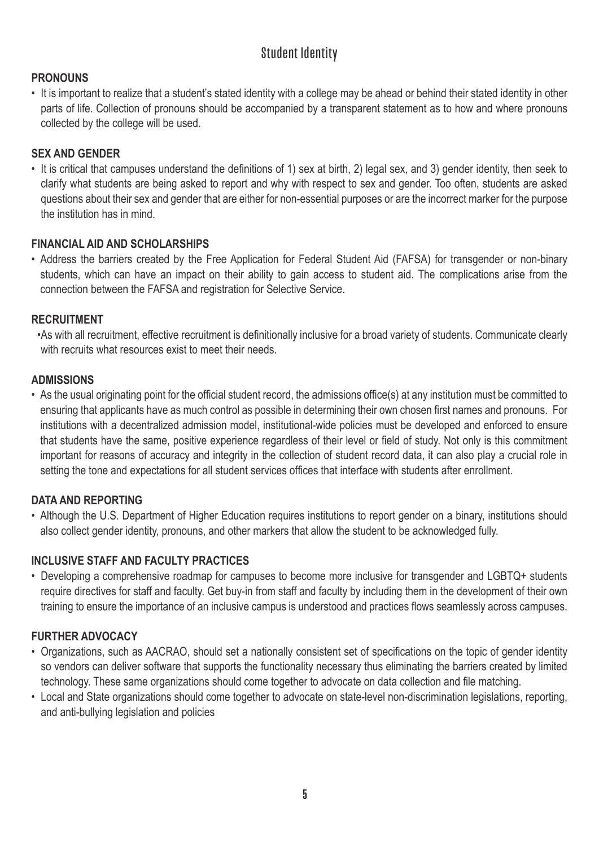#### **PRONOUNS**

• It is important to realize that a student's stated identity with a college may be ahead or behind their stated identity in other parts of life. Collection of pronouns should be accompanied by a transparent statement as to how and where pronouns collected by the college will be used.

#### **SEX AND GENDER**

• It is critical that campuses understand the definitions of 1) sex at birth, 2) legal sex, and 3) gender identity, then seek to clarify what students are being asked to report and why with respect to sex and gender. Too often, students are asked questions about their sex and gender that are either for non-essential purposes or are the incorrect marker for the purpose the institution has in mind.

#### **FINANCIAL AID AND SCHOLARSHIPS**

• Address the barriers created by the Free Application for Federal Student Aid (FAFSA) for transgender or non-binary students, which can have an impact on their ability to gain access to student aid. The complications arise from the connection between the FAFSA and registration for Selective Service.

#### **RECRUITMENT**

•As with all recruitment, effective recruitment is definitionally inclusive for a broad variety of students. Communicate clearly with recruits what resources exist to meet their needs.

#### **ADMISSIONS**

• As the usual originating point for the official student record, the admissions office(s) at any institution must be committed to ensuring that applicants have as much control as possible in determining their own chosen first names and pronouns. For institutions with a decentralized admission model, institutional-wide policies must be developed and enforced to ensure that students have the same, positive experience regardless of their level or field of study. Not only is this commitment important for reasons of accuracy and integrity in the collection of student record data, it can also play a crucial role in setting the tone and expectations for all student services offices that interface with students after enrollment.

#### **DATA AND REPORTING**

• Although the U.S. Department of Higher Education requires institutions to report gender on a binary, institutions should also collect gender identity, pronouns, and other markers that allow the student to be acknowledged fully.

#### **INCLUSIVE STAFF AND FACULTY PRACTICES**

• Developing a comprehensive roadmap for campuses to become more inclusive for transgender and LGBTQ+ students require directives for staff and faculty. Get buy-in from staff and faculty by including them in the development of their own training to ensure the importance of an inclusive campus is understood and practices flows seamlessly across campuses.

#### **FURTHER ADVOCACY**

- Organizations, such as AACRAO, should set a nationally consistent set of specifications on the topic of gender identity so vendors can deliver software that supports the functionality necessary thus eliminating the barriers created by limited technology. These same organizations should come together to advocate on data collection and file matching.
- Local and State organizations should come together to advocate on state-level non-discrimination legislations, reporting, and anti-bullying legislation and policies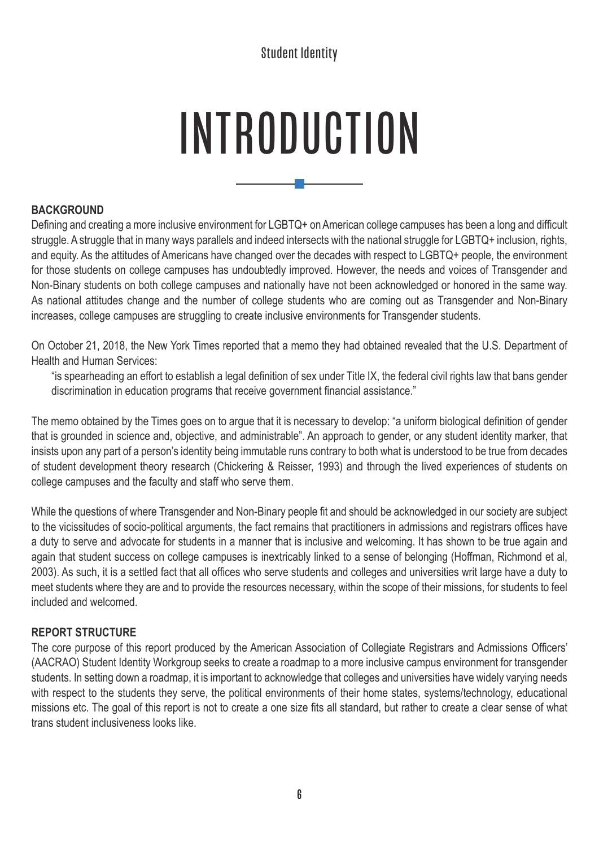# INTRODUCTION

ι,

#### **BACKGROUND**

Defining and creating a more inclusive environment for LGBTQ+ on American college campuses has been a long and difficult struggle. A struggle that in many ways parallels and indeed intersects with the national struggle for LGBTQ+ inclusion, rights, and equity. As the attitudes of Americans have changed over the decades with respect to LGBTQ+ people, the environment for those students on college campuses has undoubtedly improved. However, the needs and voices of Transgender and Non-Binary students on both college campuses and nationally have not been acknowledged or honored in the same way. As national attitudes change and the number of college students who are coming out as Transgender and Non-Binary increases, college campuses are struggling to create inclusive environments for Transgender students.

On October 21, 2018, the New York Times reported that a memo they had obtained revealed that the U.S. Department of Health and Human Services:

"is spearheading an effort to establish a legal definition of sex under Title IX, the federal civil rights law that bans gender discrimination in education programs that receive government financial assistance."

The memo obtained by the Times goes on to argue that it is necessary to develop: "a uniform biological definition of gender that is grounded in science and, objective, and administrable". An approach to gender, or any student identity marker, that insists upon any part of a person's identity being immutable runs contrary to both what is understood to be true from decades of student development theory research (Chickering & Reisser, 1993) and through the lived experiences of students on college campuses and the faculty and staff who serve them.

While the questions of where Transgender and Non-Binary people fit and should be acknowledged in our society are subject to the vicissitudes of socio-political arguments, the fact remains that practitioners in admissions and registrars offices have a duty to serve and advocate for students in a manner that is inclusive and welcoming. It has shown to be true again and again that student success on college campuses is inextricably linked to a sense of belonging (Hoffman, Richmond et al, 2003). As such, it is a settled fact that all offices who serve students and colleges and universities writ large have a duty to meet students where they are and to provide the resources necessary, within the scope of their missions, for students to feel included and welcomed.

#### **REPORT STRUCTURE**

The core purpose of this report produced by the American Association of Collegiate Registrars and Admissions Officers' (AACRAO) Student Identity Workgroup seeks to create a roadmap to a more inclusive campus environment for transgender students. In setting down a roadmap, it is important to acknowledge that colleges and universities have widely varying needs with respect to the students they serve, the political environments of their home states, systems/technology, educational missions etc. The goal of this report is not to create a one size fits all standard, but rather to create a clear sense of what trans student inclusiveness looks like.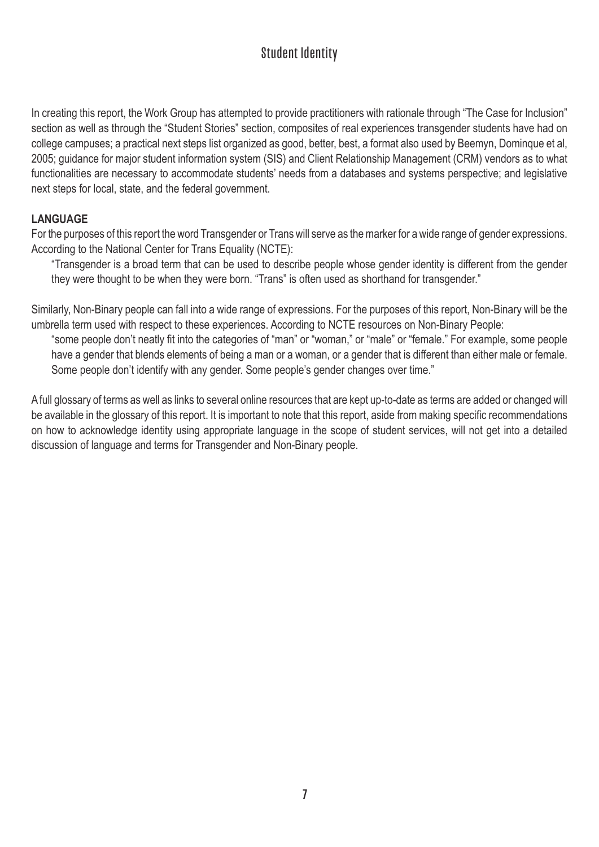In creating this report, the Work Group has attempted to provide practitioners with rationale through "The Case for Inclusion" section as well as through the "Student Stories" section, composites of real experiences transgender students have had on college campuses; a practical next steps list organized as good, better, best, a format also used by Beemyn, Dominque et al, 2005; guidance for major student information system (SIS) and Client Relationship Management (CRM) vendors as to what functionalities are necessary to accommodate students' needs from a databases and systems perspective; and legislative next steps for local, state, and the federal government.

#### **LANGUAGE**

For the purposes of this report the word Transgender or Trans will serve as the marker for a wide range of gender expressions. According to the National Center for Trans Equality (NCTE):

"Transgender is a broad term that can be used to describe people whose gender identity is different from the gender they were thought to be when they were born. "Trans" is often used as shorthand for transgender."

Similarly, Non-Binary people can fall into a wide range of expressions. For the purposes of this report, Non-Binary will be the umbrella term used with respect to these experiences. According to NCTE resources on Non-Binary People:

"some people don't neatly fit into the categories of "man" or "woman," or "male" or "female." For example, some people have a gender that blends elements of being a man or a woman, or a gender that is different than either male or female. Some people don't identify with any gender. Some people's gender changes over time."

A full glossary of terms as well as links to several online resources that are kept up-to-date as terms are added or changed will be available in the glossary of this report. It is important to note that this report, aside from making specific recommendations on how to acknowledge identity using appropriate language in the scope of student services, will not get into a detailed discussion of language and terms for Transgender and Non-Binary people.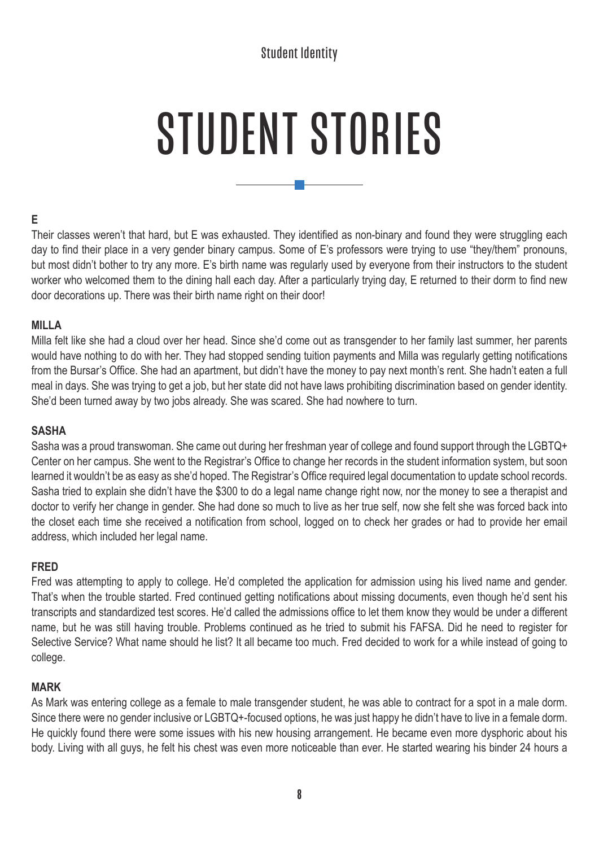# STUDENT STORIES

#### **E**

Their classes weren't that hard, but E was exhausted. They identified as non-binary and found they were struggling each day to find their place in a very gender binary campus. Some of E's professors were trying to use "they/them" pronouns, but most didn't bother to try any more. E's birth name was regularly used by everyone from their instructors to the student worker who welcomed them to the dining hall each day. After a particularly trying day, E returned to their dorm to find new door decorations up. There was their birth name right on their door!

#### **MILLA**

Milla felt like she had a cloud over her head. Since she'd come out as transgender to her family last summer, her parents would have nothing to do with her. They had stopped sending tuition payments and Milla was regularly getting notifications from the Bursar's Office. She had an apartment, but didn't have the money to pay next month's rent. She hadn't eaten a full meal in days. She was trying to get a job, but her state did not have laws prohibiting discrimination based on gender identity. She'd been turned away by two jobs already. She was scared. She had nowhere to turn.

#### **SASHA**

Sasha was a proud transwoman. She came out during her freshman year of college and found support through the LGBTQ+ Center on her campus. She went to the Registrar's Office to change her records in the student information system, but soon learned it wouldn't be as easy as she'd hoped. The Registrar's Office required legal documentation to update school records. Sasha tried to explain she didn't have the \$300 to do a legal name change right now, nor the money to see a therapist and doctor to verify her change in gender. She had done so much to live as her true self, now she felt she was forced back into the closet each time she received a notification from school, logged on to check her grades or had to provide her email address, which included her legal name.

#### **FRED**

Fred was attempting to apply to college. He'd completed the application for admission using his lived name and gender. That's when the trouble started. Fred continued getting notifications about missing documents, even though he'd sent his transcripts and standardized test scores. He'd called the admissions office to let them know they would be under a different name, but he was still having trouble. Problems continued as he tried to submit his FAFSA. Did he need to register for Selective Service? What name should he list? It all became too much. Fred decided to work for a while instead of going to college.

#### **MARK**

As Mark was entering college as a female to male transgender student, he was able to contract for a spot in a male dorm. Since there were no gender inclusive or LGBTQ+-focused options, he was just happy he didn't have to live in a female dorm. He quickly found there were some issues with his new housing arrangement. He became even more dysphoric about his body. Living with all guys, he felt his chest was even more noticeable than ever. He started wearing his binder 24 hours a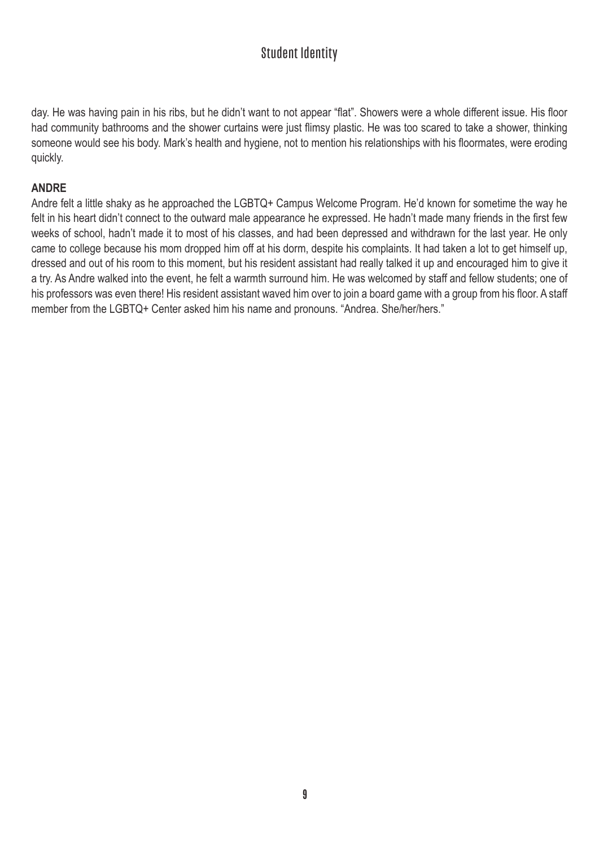day. He was having pain in his ribs, but he didn't want to not appear "flat". Showers were a whole different issue. His floor had community bathrooms and the shower curtains were just flimsy plastic. He was too scared to take a shower, thinking someone would see his body. Mark's health and hygiene, not to mention his relationships with his floormates, were eroding quickly.

#### **ANDRE**

Andre felt a little shaky as he approached the LGBTQ+ Campus Welcome Program. He'd known for sometime the way he felt in his heart didn't connect to the outward male appearance he expressed. He hadn't made many friends in the first few weeks of school, hadn't made it to most of his classes, and had been depressed and withdrawn for the last year. He only came to college because his mom dropped him off at his dorm, despite his complaints. It had taken a lot to get himself up, dressed and out of his room to this moment, but his resident assistant had really talked it up and encouraged him to give it a try. As Andre walked into the event, he felt a warmth surround him. He was welcomed by staff and fellow students; one of his professors was even there! His resident assistant waved him over to join a board game with a group from his floor. A staff member from the LGBTQ+ Center asked him his name and pronouns. "Andrea. She/her/hers."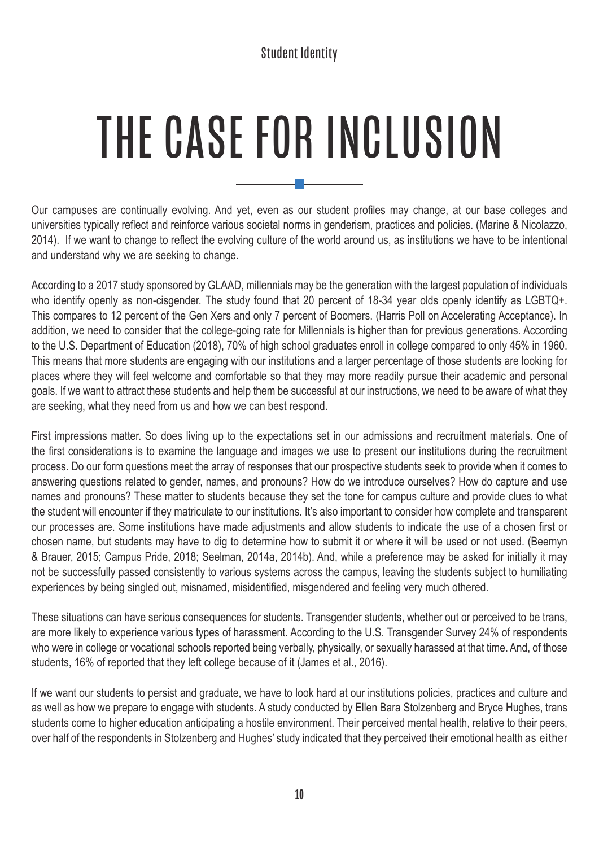# THE CASE FOR INCLUSION

Our campuses are continually evolving. And yet, even as our student profiles may change, at our base colleges and universities typically reflect and reinforce various societal norms in genderism, practices and policies. (Marine & Nicolazzo, 2014). If we want to change to reflect the evolving culture of the world around us, as institutions we have to be intentional and understand why we are seeking to change.

According to a 2017 study sponsored by GLAAD, millennials may be the generation with the largest population of individuals who identify openly as non-cisgender. The study found that 20 percent of 18-34 year olds openly identify as LGBTQ+. This compares to 12 percent of the Gen Xers and only 7 percent of Boomers. (Harris Poll on Accelerating Acceptance). In addition, we need to consider that the college-going rate for Millennials is higher than for previous generations. According to the U.S. Department of Education (2018), 70% of high school graduates enroll in college compared to only 45% in 1960. This means that more students are engaging with our institutions and a larger percentage of those students are looking for places where they will feel welcome and comfortable so that they may more readily pursue their academic and personal goals. If we want to attract these students and help them be successful at our instructions, we need to be aware of what they are seeking, what they need from us and how we can best respond.

First impressions matter. So does living up to the expectations set in our admissions and recruitment materials. One of the first considerations is to examine the language and images we use to present our institutions during the recruitment process. Do our form questions meet the array of responses that our prospective students seek to provide when it comes to answering questions related to gender, names, and pronouns? How do we introduce ourselves? How do capture and use names and pronouns? These matter to students because they set the tone for campus culture and provide clues to what the student will encounter if they matriculate to our institutions. It's also important to consider how complete and transparent our processes are. Some institutions have made adjustments and allow students to indicate the use of a chosen first or chosen name, but students may have to dig to determine how to submit it or where it will be used or not used. (Beemyn & Brauer, 2015; Campus Pride, 2018; Seelman, 2014a, 2014b). And, while a preference may be asked for initially it may not be successfully passed consistently to various systems across the campus, leaving the students subject to humiliating experiences by being singled out, misnamed, misidentified, misgendered and feeling very much othered.

These situations can have serious consequences for students. Transgender students, whether out or perceived to be trans, are more likely to experience various types of harassment. According to the U.S. Transgender Survey 24% of respondents who were in college or vocational schools reported being verbally, physically, or sexually harassed at that time. And, of those students, 16% of reported that they left college because of it (James et al., 2016).

If we want our students to persist and graduate, we have to look hard at our institutions policies, practices and culture and as well as how we prepare to engage with students. A study conducted by Ellen Bara Stolzenberg and Bryce Hughes, trans students come to higher education anticipating a hostile environment. Their perceived mental health, relative to their peers, over half of the respondents in Stolzenberg and Hughes' study indicated that they perceived their emotional health as either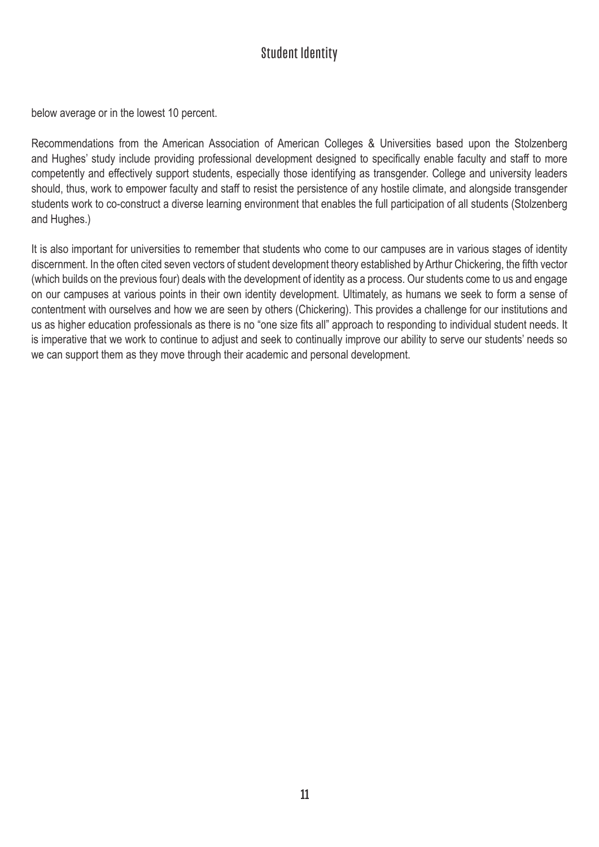below average or in the lowest 10 percent.

Recommendations from the American Association of American Colleges & Universities based upon the Stolzenberg and Hughes' study include providing professional development designed to specifically enable faculty and staff to more competently and effectively support students, especially those identifying as transgender. College and university leaders should, thus, work to empower faculty and staff to resist the persistence of any hostile climate, and alongside transgender students work to co-construct a diverse learning environment that enables the full participation of all students (Stolzenberg and Hughes.)

It is also important for universities to remember that students who come to our campuses are in various stages of identity discernment. In the often cited seven vectors of student development theory established by Arthur Chickering, the fifth vector (which builds on the previous four) deals with the development of identity as a process. Our students come to us and engage on our campuses at various points in their own identity development. Ultimately, as humans we seek to form a sense of contentment with ourselves and how we are seen by others (Chickering). This provides a challenge for our institutions and us as higher education professionals as there is no "one size fits all" approach to responding to individual student needs. It is imperative that we work to continue to adjust and seek to continually improve our ability to serve our students' needs so we can support them as they move through their academic and personal development.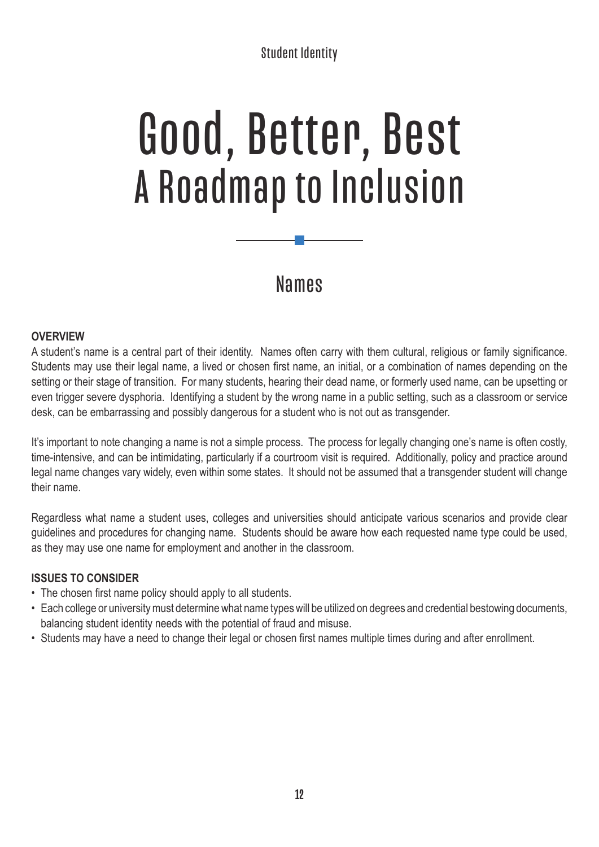# Good, Better, Best A Roadmap to Inclusion

## Names

#### **OVERVIEW**

A student's name is a central part of their identity. Names often carry with them cultural, religious or family significance. Students may use their legal name, a lived or chosen first name, an initial, or a combination of names depending on the setting or their stage of transition. For many students, hearing their dead name, or formerly used name, can be upsetting or even trigger severe dysphoria. Identifying a student by the wrong name in a public setting, such as a classroom or service desk, can be embarrassing and possibly dangerous for a student who is not out as transgender.

It's important to note changing a name is not a simple process. The process for legally changing one's name is often costly, time-intensive, and can be intimidating, particularly if a courtroom visit is required. Additionally, policy and practice around legal name changes vary widely, even within some states. It should not be assumed that a transgender student will change their name.

Regardless what name a student uses, colleges and universities should anticipate various scenarios and provide clear guidelines and procedures for changing name. Students should be aware how each requested name type could be used, as they may use one name for employment and another in the classroom.

#### **ISSUES TO CONSIDER**

- The chosen first name policy should apply to all students.
- Each college or university must determine what name types will be utilized on degrees and credential bestowing documents, balancing student identity needs with the potential of fraud and misuse.
- Students may have a need to change their legal or chosen first names multiple times during and after enrollment.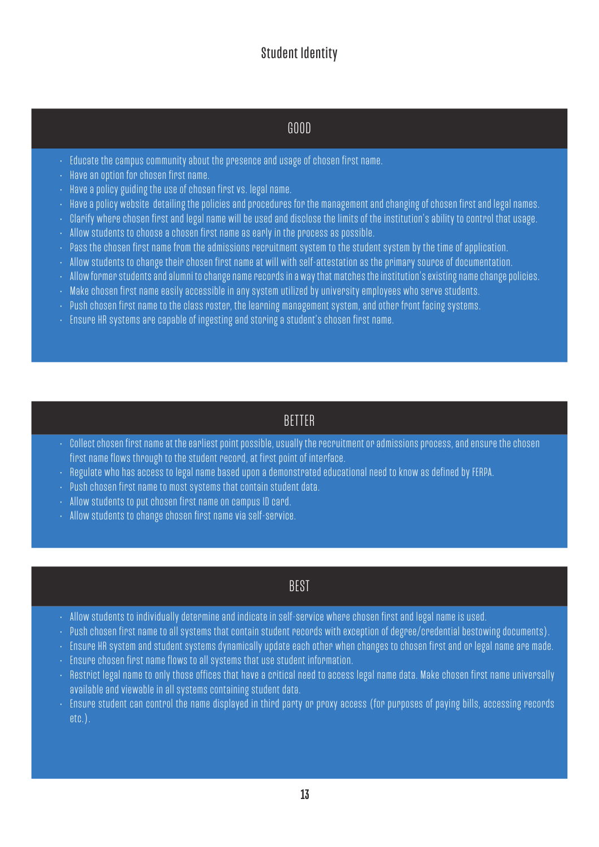## GOOD

- Educate the campus community about the presence and usage of chosen first name.
- Have an option for chosen first name.
- Have a policy guiding the use of chosen first vs. legal name.
- Have a policy website detailing the policies and procedures for the management and changing of chosen first and legal names.
- Clarify where chosen first and legal name will be used and disclose the limits of the institution's ability to control that usage.
- Allow students to choose a chosen first name as early in the process as possible.
- Pass the chosen first name from the admissions recruitment system to the student system by the time of application.
- Allow students to change their chosen first name at will with self-attestation as the primary source of documentation.
- Allow former students and alumni to change name records in a way that matches the institution's existing name change policies.
- Make chosen first name easily accessible in any system utilized by university employees who serve students.
- Push chosen first name to the class roster, the learning management system, and other front facing systems.
- Ensure HR systems are capable of ingesting and storing a student's chosen first name.

### BETTER

- Collect chosen first name at the earliest point possible, usually the recruitment or admissions process, and ensure the chosen first name flows through to the student record, at first point of interface.
- Regulate who has access to legal name based upon a demonstrated educational need to know as defined by FERPA.
- Push chosen first name to most systems that contain student data.
- Allow students to put chosen first name on campus ID card.
- Allow students to change chosen first name via self-service.

### BEST

- Allow students to individually determine and indicate in self-service where chosen first and legal name is used.
- Push chosen first name to all systems that contain student records with exception of degree/credential bestowing documents).
- Ensure HR system and student systems dynamically update each other when changes to chosen first and or legal name are made.
- Ensure chosen first name flows to all systems that use student information.
- Restrict legal name to only those offices that have a critical need to access legal name data. Make chosen first name universally available and viewable in all systems containing student data.
- Ensure student can control the name displayed in third party or proxy access (for purposes of paying bills, accessing records etc.).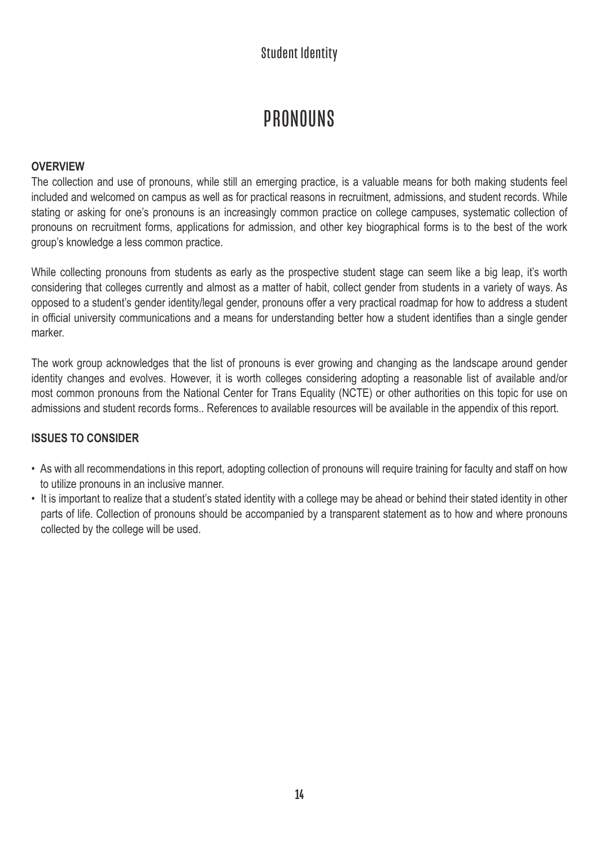## PRONOUNS

#### **OVERVIEW**

The collection and use of pronouns, while still an emerging practice, is a valuable means for both making students feel included and welcomed on campus as well as for practical reasons in recruitment, admissions, and student records. While stating or asking for one's pronouns is an increasingly common practice on college campuses, systematic collection of pronouns on recruitment forms, applications for admission, and other key biographical forms is to the best of the work group's knowledge a less common practice.

While collecting pronouns from students as early as the prospective student stage can seem like a big leap, it's worth considering that colleges currently and almost as a matter of habit, collect gender from students in a variety of ways. As opposed to a student's gender identity/legal gender, pronouns offer a very practical roadmap for how to address a student in official university communications and a means for understanding better how a student identifies than a single gender marker.

The work group acknowledges that the list of pronouns is ever growing and changing as the landscape around gender identity changes and evolves. However, it is worth colleges considering adopting a reasonable list of available and/or most common pronouns from the National Center for Trans Equality (NCTE) or other authorities on this topic for use on admissions and student records forms.. References to available resources will be available in the appendix of this report.

#### **ISSUES TO CONSIDER**

- As with all recommendations in this report, adopting collection of pronouns will require training for faculty and staff on how to utilize pronouns in an inclusive manner.
- It is important to realize that a student's stated identity with a college may be ahead or behind their stated identity in other parts of life. Collection of pronouns should be accompanied by a transparent statement as to how and where pronouns collected by the college will be used.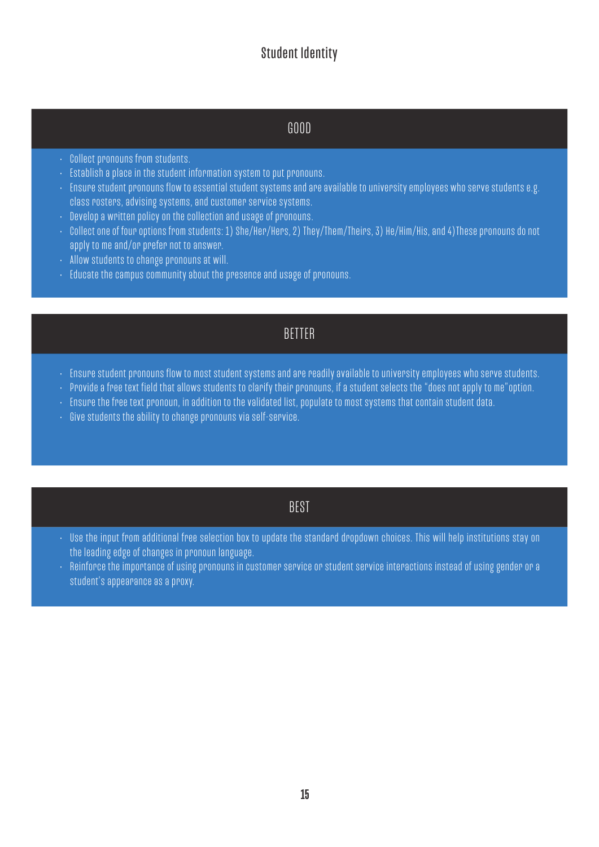### GOOD

- Collect pronouns from students.
- Establish a place in the student information system to put pronouns.
- Ensure student pronouns flow to essential student systems and are available to university employees who serve students e.g. class rosters, advising systems, and customer service systems.
- $\cdot$  Develop a written policy on the collection and usage of pronouns.
- Collect one of four options from students: 1) She/Her/Hers, 2) They/Them/Theirs, 3) He/Him/His, and 4)These pronouns do not apply to me and/or prefer not to answer.
- Allow students to change pronouns at will.
- Educate the campus community about the presence and usage of pronouns.

#### BETTER

- Ensure student pronouns flow to most student systems and are readily available to university employees who serve students.
- Provide a free text field that allows students to clarify their pronouns, if a student selects the "does not apply to me"option.
- Ensure the free text pronoun, in addition to the validated list, populate to most systems that contain student data.
- Give students the ability to change pronouns via self-service.

#### BEST

- Use the input from additional free selection box to update the standard dropdown choices. This will help institutions stay on the leading edge of changes in pronoun language.
- Reinforce the importance of using pronouns in customer service or student service interactions instead of using gender or a student's appearance as a proxy.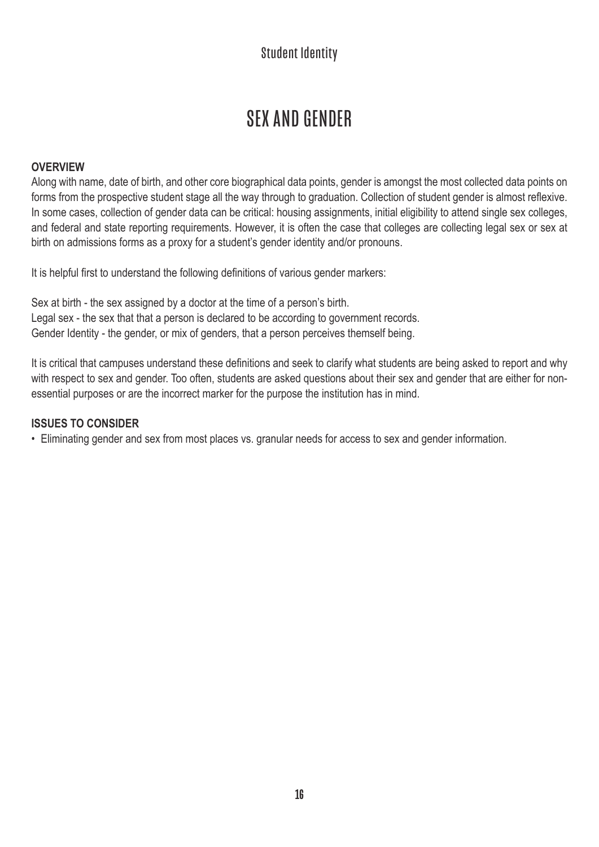## SEX AND GENDER

#### **OVERVIEW**

Along with name, date of birth, and other core biographical data points, gender is amongst the most collected data points on forms from the prospective student stage all the way through to graduation. Collection of student gender is almost reflexive. In some cases, collection of gender data can be critical: housing assignments, initial eligibility to attend single sex colleges, and federal and state reporting requirements. However, it is often the case that colleges are collecting legal sex or sex at birth on admissions forms as a proxy for a student's gender identity and/or pronouns.

It is helpful first to understand the following definitions of various gender markers:

Sex at birth - the sex assigned by a doctor at the time of a person's birth. Legal sex - the sex that that a person is declared to be according to government records. Gender Identity - the gender, or mix of genders, that a person perceives themself being.

It is critical that campuses understand these definitions and seek to clarify what students are being asked to report and why with respect to sex and gender. Too often, students are asked questions about their sex and gender that are either for nonessential purposes or are the incorrect marker for the purpose the institution has in mind.

#### **ISSUES TO CONSIDER**

• Eliminating gender and sex from most places vs. granular needs for access to sex and gender information.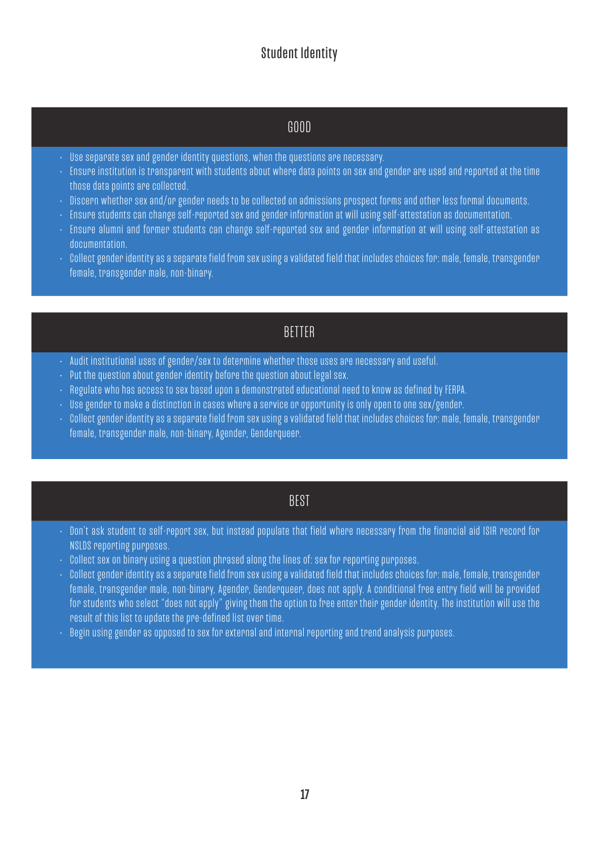## GOOD

- Use separate sex and gender identity questions, when the questions are necessary.
- Ensure institution is transparent with students about where data points on sex and gender are used and reported at the time those data points are collected.
- Discern whether sex and/or gender needs to be collected on admissions prospect forms and other less formal documents.
- Ensure students can change self-reported sex and gender information at will using self-attestation as documentation.
- Ensure alumni and former students can change self-reported sex and gender information at will using self-attestation as documentation.
- Collect gender identity as a separate field from sex using a validated field that includes choices for: male, female, transgender female, transgender male, non-binary.

### **BETTER**

- Audit institutional uses of gender/sex to determine whether those uses are necessary and useful.
- Put the question about gender identity before the question about legal sex.
- Regulate who has access to sex based upon a demonstrated educational need to know as defined by FERPA.
- Use gender to make a distinction in cases where a service or opportunity is only open to one sex/gender.
- Collect gender identity as a separate field from sex using a validated field that includes choices for: male, female, transgender female, transgender male, non-binary, Agender, Genderqueer.

#### BEST

- Don't ask student to self-report sex, but instead populate that field where necessary from the financial aid ISIR record for NSLDS reporting purposes.
- Collect sex on binary using a question phrased along the lines of: sex for reporting purposes.
- Collect gender identity as a separate field from sex using a validated field that includes choices for: male, female, transgender female, transgender male, non-binary, Agender, Genderqueer, does not apply. A conditional free entry field will be provided for students who select "does not apply" giving them the option to free enter their gender identity. The institution will use the result of this list to update the pre-defined list over time.
- Begin using gender as opposed to sex for external and internal reporting and trend analysis purposes.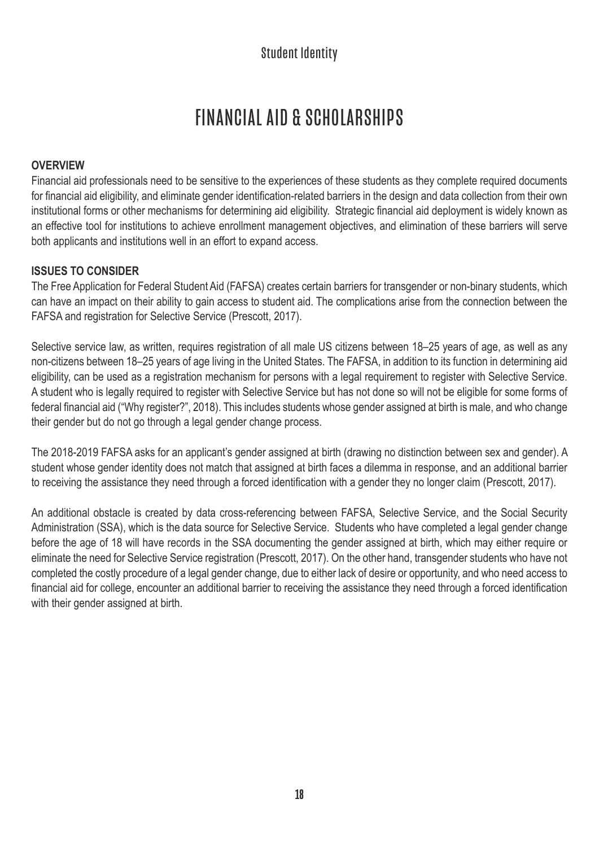# FINANCIAL AID & SCHOLARSHIPS

#### **OVERVIEW**

Financial aid professionals need to be sensitive to the experiences of these students as they complete required documents for financial aid eligibility, and eliminate gender identification-related barriers in the design and data collection from their own institutional forms or other mechanisms for determining aid eligibility. Strategic financial aid deployment is widely known as an effective tool for institutions to achieve enrollment management objectives, and elimination of these barriers will serve both applicants and institutions well in an effort to expand access.

#### **ISSUES TO CONSIDER**

The Free Application for Federal Student Aid (FAFSA) creates certain barriers for transgender or non-binary students, which can have an impact on their ability to gain access to student aid. The complications arise from the connection between the FAFSA and registration for Selective Service (Prescott, 2017).

Selective service law, as written, requires registration of all male US citizens between 18–25 years of age, as well as any non-citizens between 18–25 years of age living in the United States. The FAFSA, in addition to its function in determining aid eligibility, can be used as a registration mechanism for persons with a legal requirement to register with Selective Service. A student who is legally required to register with Selective Service but has not done so will not be eligible for some forms of federal financial aid ("Why register?", 2018). This includes students whose gender assigned at birth is male, and who change their gender but do not go through a legal gender change process.

The 2018-2019 FAFSA asks for an applicant's gender assigned at birth (drawing no distinction between sex and gender). A student whose gender identity does not match that assigned at birth faces a dilemma in response, and an additional barrier to receiving the assistance they need through a forced identification with a gender they no longer claim (Prescott, 2017).

An additional obstacle is created by data cross-referencing between FAFSA, Selective Service, and the Social Security Administration (SSA), which is the data source for Selective Service. Students who have completed a legal gender change before the age of 18 will have records in the SSA documenting the gender assigned at birth, which may either require or eliminate the need for Selective Service registration (Prescott, 2017). On the other hand, transgender students who have not completed the costly procedure of a legal gender change, due to either lack of desire or opportunity, and who need access to financial aid for college, encounter an additional barrier to receiving the assistance they need through a forced identification with their gender assigned at birth.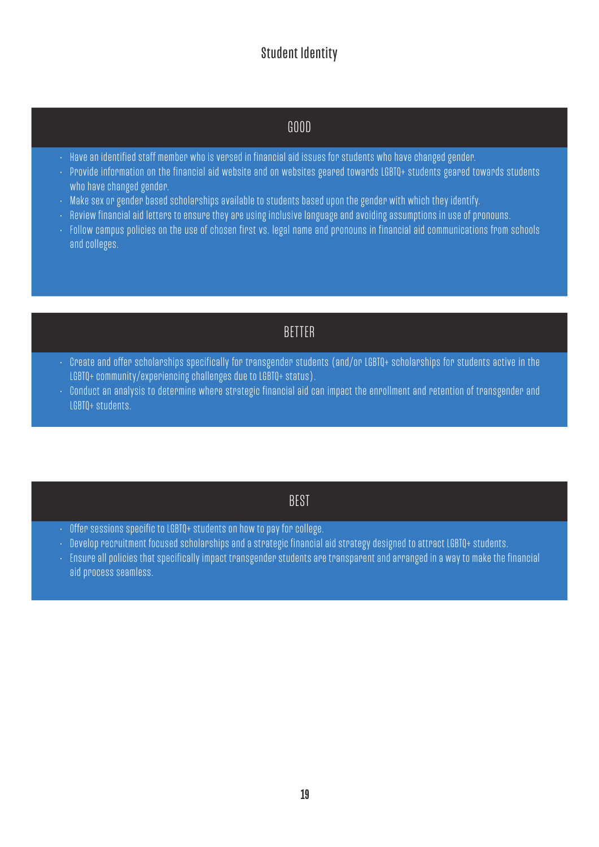## GOOD

- Have an identified staff member who is versed in financial aid issues for students who have changed gender.
- Provide information on the financial aid website and on websites geared towards LGBTQ+ students geared towards students who have changed gender.
- Make sex or gender based scholarships available to students based upon the gender with which they identify.
- Review financial aid letters to ensure they are using inclusive language and avoiding assumptions in use of pronouns.
- Follow campus policies on the use of chosen first vs. legal name and pronouns in financial aid communications from schools and colleges.

## BETTER

- Create and offer scholarships specifically for transgender students (and/or LGBTQ+ scholarships for students active in the LGBTQ+ community/experiencing challenges due to LGBTQ+ status).
- Conduct an analysis to determine where strategic financial aid can impact the enrollment and retention of transgender and LGBTQ+ students.

#### BEST

- Offer sessions specific to LGBTQ+ students on how to pay for college.
- Develop recruitment focused scholarships and a strategic financial aid strategy designed to attract LGBTQ+ students.
- Ensure all policies that specifically impact transgender students are transparent and arranged in a way to make the financial aid process seamless.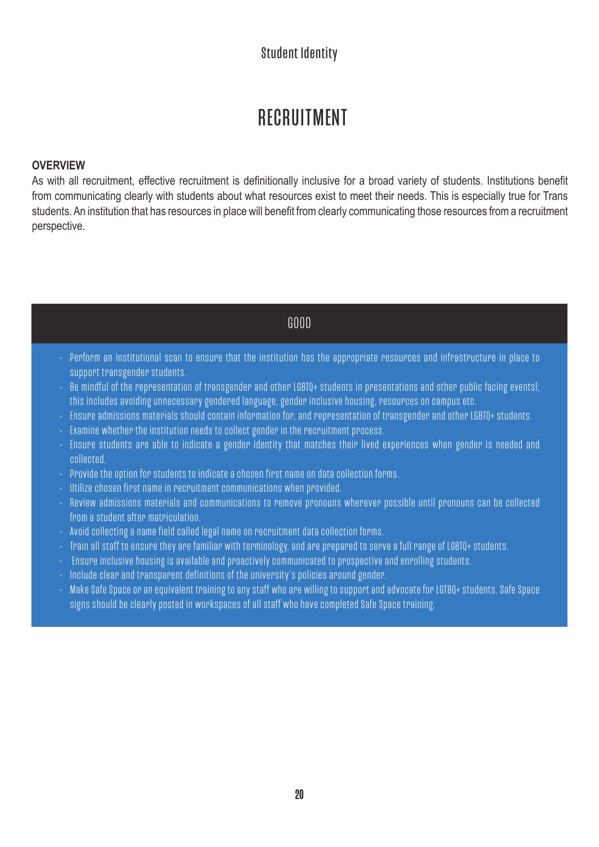## RECRUITMENT

#### **OVERVIEW**

As with all recruitment, effective recruitment is definitionally inclusive for a broad variety of students. Institutions benefit from communicating clearly with students about what resources exist to meet their needs. This is especially true for Trans students. An institution that has resources in place will benefit from clearly communicating those resources from a recruitment perspective.

#### GOOD

- Perform an institutional scan to ensure that the institution has the appropriate resources and infrastructure in place to support transgender students.
- Be mindful of the representation of transgender and other LGBTQ+ students in presentations and other public facing eventsl; this includes avoiding unnecessary gendered language, gender inclusive housing, resources on campus etc.
- Ensure admissions materials should contain information for, and representation of transgender and other LGBTQ+ students.
- Examine whether the institution needs to collect gender in the recruitment process.
- Ensure students are able to indicate a gender identity that matches their lived experiences when gender is needed and collected.
- Provide the option for students to indicate a chosen first name on data collection forms.
- Utilize chosen first name in recruitment communications when provided.
- Review admissions materials and communications to remove pronouns wherever possible until pronouns can be collected from a student after matriculation.
- Avoid collecting a name field called legal name on recruitment data collection forms.
- Train all staff to ensure they are familiar with terminology, and are prepared to serve a full range of LGBTQ+ students.
- Ensure inclusive housing is available and proactively communicated to prospective and enrolling students.
- Include clear and transparent definitions of the university's policies around gender.
- Make Safe Space or an equivalent training to any staff who are willing to support and advocate for LGTBQ+ students. Safe Space signs should be clearly posted in workspaces of all staff who have completed Safe Space training.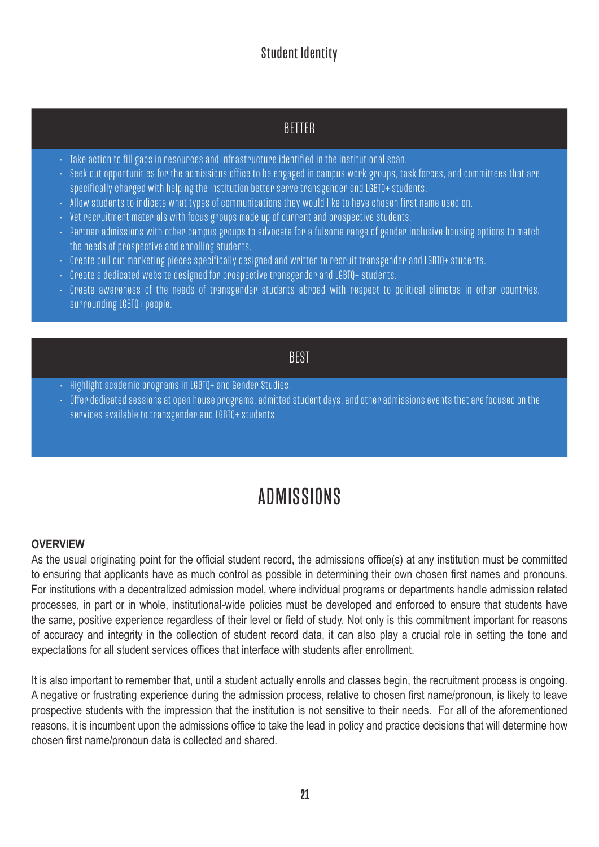## BETTER

- Take action to fill gaps in resources and infrastructure identified in the institutional scan.
- Seek out opportunities for the admissions office to be engaged in campus work groups, task forces, and committees that are specifically charged with helping the institution better serve transgender and LGBTQ+ students.
- Allow students to indicate what types of communications they would like to have chosen first name used on.
- Vet recruitment materials with focus groups made up of current and prospective students.
- Partner admissions with other campus groups to advocate for a fulsome range of gender inclusive housing options to match the needs of prospective and enrolling students.
- Create pull out marketing pieces specifically designed and written to recruit transgender and LGBTQ+ students.
- Create a dedicated website designed for prospective transgender and LGBTQ+ students.
- Create awareness of the needs of transgender students abroad with respect to political climates in other countries. surrounding LGBTQ+ people.

#### BEST

- Highlight academic programs in LGBTQ+ and Gender Studies.
- Offer dedicated sessions at open house programs, admitted student days, and other admissions events that are focused on the services available to transgender and LGBTQ+ students.

## ADMISSIONS

#### **OVERVIEW**

As the usual originating point for the official student record, the admissions office(s) at any institution must be committed to ensuring that applicants have as much control as possible in determining their own chosen first names and pronouns. For institutions with a decentralized admission model, where individual programs or departments handle admission related processes, in part or in whole, institutional-wide policies must be developed and enforced to ensure that students have the same, positive experience regardless of their level or field of study. Not only is this commitment important for reasons of accuracy and integrity in the collection of student record data, it can also play a crucial role in setting the tone and expectations for all student services offices that interface with students after enrollment.

It is also important to remember that, until a student actually enrolls and classes begin, the recruitment process is ongoing. A negative or frustrating experience during the admission process, relative to chosen first name/pronoun, is likely to leave prospective students with the impression that the institution is not sensitive to their needs. For all of the aforementioned reasons, it is incumbent upon the admissions office to take the lead in policy and practice decisions that will determine how chosen first name/pronoun data is collected and shared.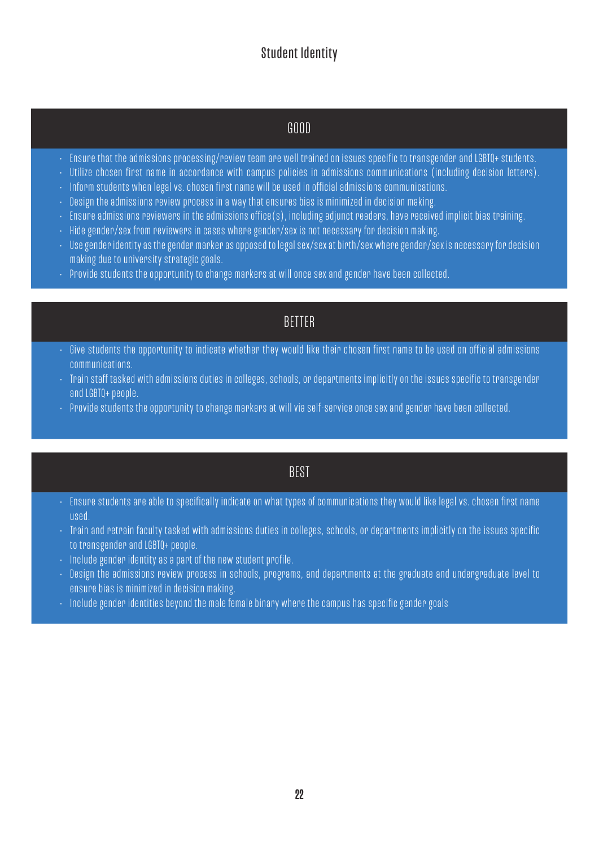### GOOD

- Ensure that the admissions processing/review team are well trained on issues specific to transgender and LGBTQ+ students.
- Utilize chosen first name in accordance with campus policies in admissions communications (including decision letters).
- $\cdot$  Inform students when legal vs. chosen first name will be used in official admissions communications.
- Design the admissions review process in a way that ensures bias is minimized in decision making.
- Ensure admissions reviewers in the admissions office(s), including adjunct readers, have received implicit bias training.
- Hide gender/sex from reviewers in cases where gender/sex is not necessary for decision making.
- Use gender identity as the gender marker as opposed to legal sex/sex at birth/sex where gender/sex is necessary for decision making due to university strategic goals.
- Provide students the opportunity to change markers at will once sex and gender have been collected.

### BETTER

- Give students the opportunity to indicate whether they would like their chosen first name to be used on official admissions communications.
- Train staff tasked with admissions duties in colleges, schools, or departments implicitly on the issues specific to transgender and LGBTQ+ people.
- Provide students the opportunity to change markers at will via self-service once sex and gender have been collected.

#### BEST

- Ensure students are able to specifically indicate on what types of communications they would like legal vs. chosen first name used.
- Train and retrain faculty tasked with admissions duties in colleges, schools, or departments implicitly on the issues specific to transgender and LGBTQ+ people.
- Include gender identity as a part of the new student profile.
- Design the admissions review process in schools, programs, and departments at the graduate and undergraduate level to ensure bias is minimized in decision making.
- $\cdot$  Include gender identities beyond the male female binary where the campus has specific gender goals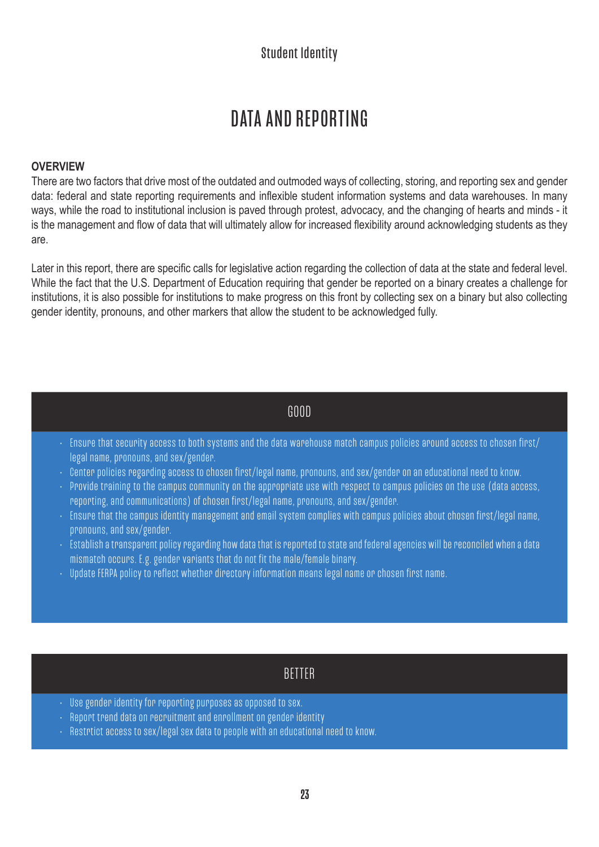## DATA AND REPORTING

#### **OVERVIEW**

There are two factors that drive most of the outdated and outmoded ways of collecting, storing, and reporting sex and gender data: federal and state reporting requirements and inflexible student information systems and data warehouses. In many ways, while the road to institutional inclusion is paved through protest, advocacy, and the changing of hearts and minds - it is the management and flow of data that will ultimately allow for increased flexibility around acknowledging students as they are.

Later in this report, there are specific calls for legislative action regarding the collection of data at the state and federal level. While the fact that the U.S. Department of Education requiring that gender be reported on a binary creates a challenge for institutions, it is also possible for institutions to make progress on this front by collecting sex on a binary but also collecting gender identity, pronouns, and other markers that allow the student to be acknowledged fully.

#### GOOD

- Ensure that security access to both systems and the data warehouse match campus policies around access to chosen first/ legal name, pronouns, and sex/gender.
- Center policies regarding access to chosen first/legal name, pronouns, and sex/gender on an educational need to know.
- Provide training to the campus community on the appropriate use with respect to campus policies on the use (data access, reporting, and communications) of chosen first/legal name, pronouns, and sex/gender.
- Ensure that the campus identity management and email system complies with campus policies about chosen first/legal name, pronouns, and sex/gender.
- Establish a transparent policy regarding how data that is reported to state and federal agencies will be reconciled when a data mismatch occurs. E.g. gender variants that do not fit the male/female binary.
- Update FERPA policy to reflect whether directory information means legal name or chosen first name.

### BETTER

- Use gender identity for reporting purposes as opposed to sex.
- Report trend data on recruitment and enrollment on gender identity
- Restrtict access to sex/legal sex data to people with an educational need to know.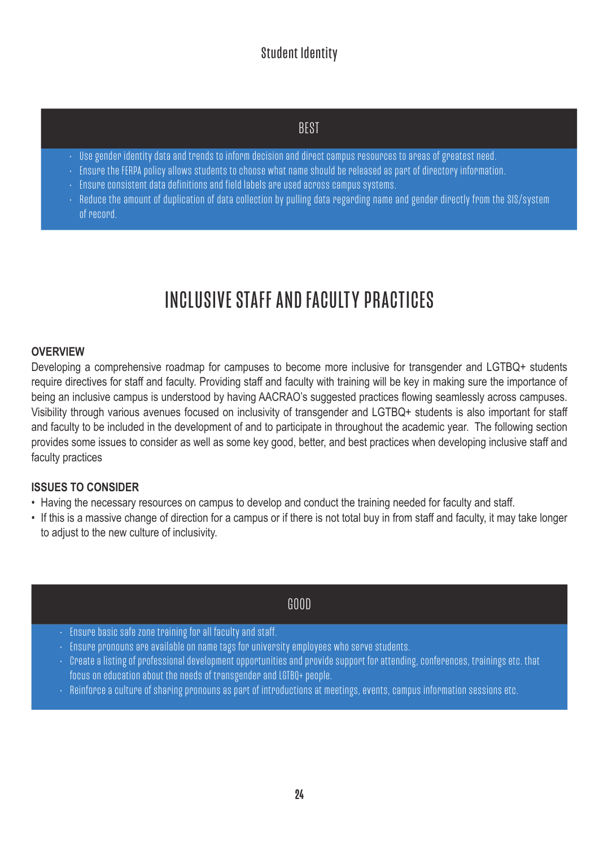## **BEST**

- Use gender identity data and trends to inform decision and direct campus resources to areas of greatest need.
- Ensure the FERPA policy allows students to choose what name should be released as part of directory information.
- Ensure consistent data definitions and field labels are used across campus systems.
- Reduce the amount of duplication of data collection by pulling data regarding name and gender directly from the SIS/system of record.

## INCLUSIVE STAFF AND FACULTY PRACTICES

#### **OVERVIEW**

Developing a comprehensive roadmap for campuses to become more inclusive for transgender and LGTBQ+ students require directives for staff and faculty. Providing staff and faculty with training will be key in making sure the importance of being an inclusive campus is understood by having AACRAO's suggested practices flowing seamlessly across campuses. Visibility through various avenues focused on inclusivity of transgender and LGTBQ+ students is also important for staff and faculty to be included in the development of and to participate in throughout the academic year. The following section provides some issues to consider as well as some key good, better, and best practices when developing inclusive staff and faculty practices

#### **ISSUES TO CONSIDER**

- Having the necessary resources on campus to develop and conduct the training needed for faculty and staff.
- If this is a massive change of direction for a campus or if there is not total buy in from staff and faculty, it may take longer to adjust to the new culture of inclusivity.

### GOOD

- Ensure basic safe zone training for all faculty and staff.
- Ensure pronouns are available on name tags for university employees who serve students.
- Create a listing of professional development opportunities and provide support for attending, conferences, trainings etc. that focus on education about the needs of transgender and LGTBQ+ people.
- Reinforce a culture of sharing pronouns as part of introductions at meetings, events, campus information sessions etc.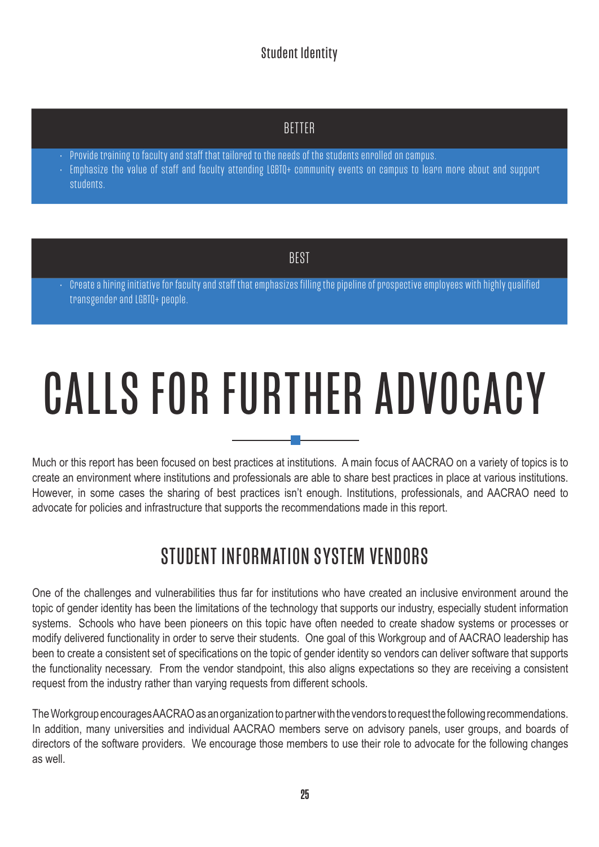## **BETTER**

- Provide training to faculty and staff that tailored to the needs of the students enrolled on campus.
- Emphasize the value of staff and faculty attending LGBTQ+ community events on campus to learn more about and support students.

## **BEST**

• Create a hiring initiative for faculty and staff that emphasizes filling the pipeline of prospective employees with highly qualified transgender and LGBTQ+ people.

# CALLS FOR FURTHER ADVOCACY

Much or this report has been focused on best practices at institutions. A main focus of AACRAO on a variety of topics is to create an environment where institutions and professionals are able to share best practices in place at various institutions. However, in some cases the sharing of best practices isn't enough. Institutions, professionals, and AACRAO need to advocate for policies and infrastructure that supports the recommendations made in this report.

## STUDENT INFORMATION SYSTEM VENDORS

One of the challenges and vulnerabilities thus far for institutions who have created an inclusive environment around the topic of gender identity has been the limitations of the technology that supports our industry, especially student information systems. Schools who have been pioneers on this topic have often needed to create shadow systems or processes or modify delivered functionality in order to serve their students. One goal of this Workgroup and of AACRAO leadership has been to create a consistent set of specifications on the topic of gender identity so vendors can deliver software that supports the functionality necessary. From the vendor standpoint, this also aligns expectations so they are receiving a consistent request from the industry rather than varying requests from different schools.

The Workgroup encourages AACRAO as an organization to partner with the vendors to request the following recommendations. In addition, many universities and individual AACRAO members serve on advisory panels, user groups, and boards of directors of the software providers. We encourage those members to use their role to advocate for the following changes as well.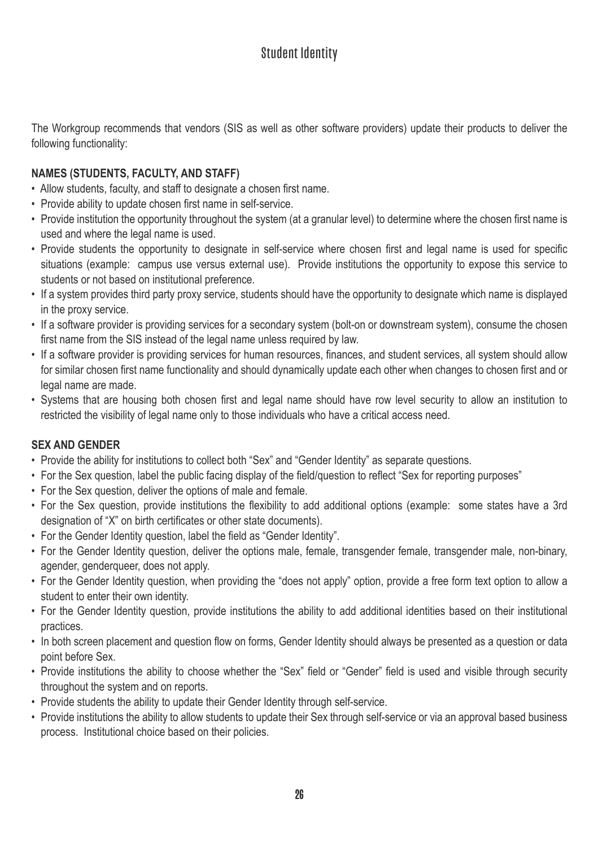The Workgroup recommends that vendors (SIS as well as other software providers) update their products to deliver the following functionality:

#### **NAMES (STUDENTS, FACULTY, AND STAFF)**

- Allow students, faculty, and staff to designate a chosen first name.
- Provide ability to update chosen first name in self-service.
- Provide institution the opportunity throughout the system (at a granular level) to determine where the chosen first name is used and where the legal name is used.
- Provide students the opportunity to designate in self-service where chosen first and legal name is used for specific situations (example: campus use versus external use). Provide institutions the opportunity to expose this service to students or not based on institutional preference.
- If a system provides third party proxy service, students should have the opportunity to designate which name is displayed in the proxy service.
- If a software provider is providing services for a secondary system (bolt-on or downstream system), consume the chosen first name from the SIS instead of the legal name unless required by law.
- If a software provider is providing services for human resources, finances, and student services, all system should allow for similar chosen first name functionality and should dynamically update each other when changes to chosen first and or legal name are made.
- Systems that are housing both chosen first and legal name should have row level security to allow an institution to restricted the visibility of legal name only to those individuals who have a critical access need.

#### **SEX AND GENDER**

- Provide the ability for institutions to collect both "Sex" and "Gender Identity" as separate questions.
- For the Sex question, label the public facing display of the field/question to reflect "Sex for reporting purposes"
- For the Sex question, deliver the options of male and female.
- For the Sex question, provide institutions the flexibility to add additional options (example: some states have a 3rd designation of "X" on birth certificates or other state documents).
- For the Gender Identity question, label the field as "Gender Identity".
- For the Gender Identity question, deliver the options male, female, transgender female, transgender male, non-binary, agender, genderqueer, does not apply.
- For the Gender Identity question, when providing the "does not apply" option, provide a free form text option to allow a student to enter their own identity.
- For the Gender Identity question, provide institutions the ability to add additional identities based on their institutional practices.
- In both screen placement and question flow on forms, Gender Identity should always be presented as a question or data point before Sex.
- Provide institutions the ability to choose whether the "Sex" field or "Gender" field is used and visible through security throughout the system and on reports.
- Provide students the ability to update their Gender Identity through self-service.
- Provide institutions the ability to allow students to update their Sex through self-service or via an approval based business process. Institutional choice based on their policies.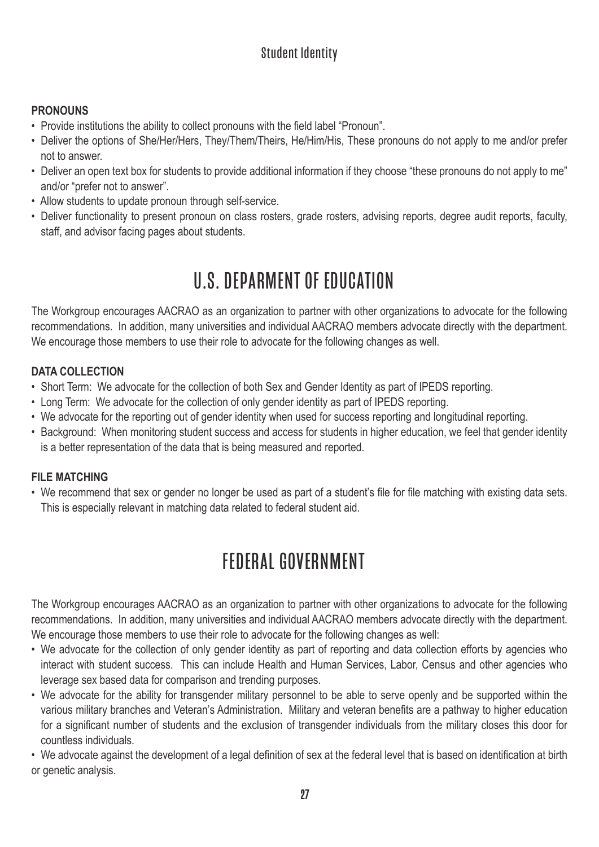#### **PRONOUNS**

- Provide institutions the ability to collect pronouns with the field label "Pronoun".
- Deliver the options of She/Her/Hers, They/Them/Theirs, He/Him/His, These pronouns do not apply to me and/or prefer not to answer.
- Deliver an open text box for students to provide additional information if they choose "these pronouns do not apply to me" and/or "prefer not to answer".
- Allow students to update pronoun through self-service.
- Deliver functionality to present pronoun on class rosters, grade rosters, advising reports, degree audit reports, faculty, staff, and advisor facing pages about students.

## U.S. DEPARMENT OF EDUCATION

The Workgroup encourages AACRAO as an organization to partner with other organizations to advocate for the following recommendations. In addition, many universities and individual AACRAO members advocate directly with the department. We encourage those members to use their role to advocate for the following changes as well.

#### **DATA COLLECTION**

- Short Term: We advocate for the collection of both Sex and Gender Identity as part of IPEDS reporting.
- Long Term: We advocate for the collection of only gender identity as part of IPEDS reporting.
- We advocate for the reporting out of gender identity when used for success reporting and longitudinal reporting.
- Background: When monitoring student success and access for students in higher education, we feel that gender identity is a better representation of the data that is being measured and reported.

#### **FILE MATCHING**

• We recommend that sex or gender no longer be used as part of a student's file for file matching with existing data sets. This is especially relevant in matching data related to federal student aid.

## FEDERAL GOVERNMENT

The Workgroup encourages AACRAO as an organization to partner with other organizations to advocate for the following recommendations. In addition, many universities and individual AACRAO members advocate directly with the department. We encourage those members to use their role to advocate for the following changes as well:

- We advocate for the collection of only gender identity as part of reporting and data collection efforts by agencies who interact with student success. This can include Health and Human Services, Labor, Census and other agencies who leverage sex based data for comparison and trending purposes.
- We advocate for the ability for transgender military personnel to be able to serve openly and be supported within the various military branches and Veteran's Administration. Military and veteran benefits are a pathway to higher education for a significant number of students and the exclusion of transgender individuals from the military closes this door for countless individuals.

• We advocate against the development of a legal definition of sex at the federal level that is based on identification at birth or genetic analysis.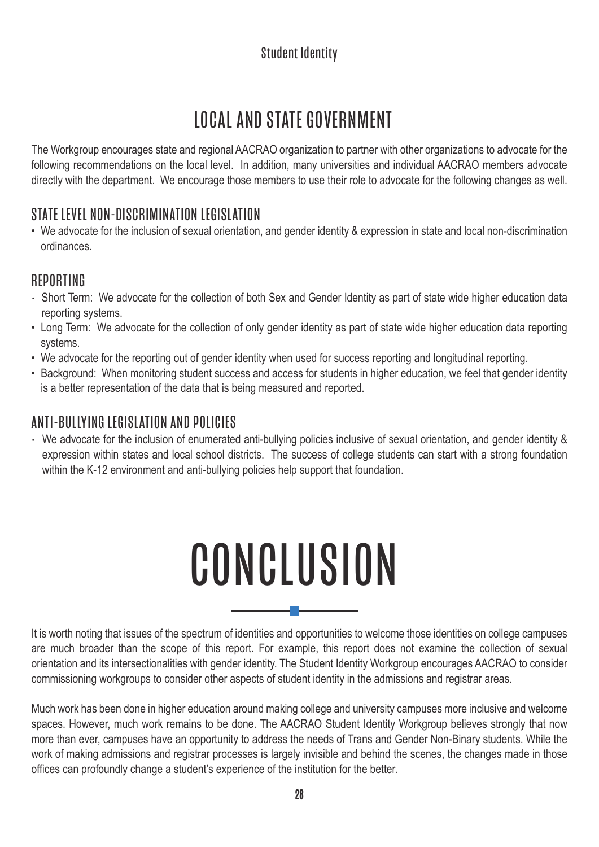# LOCAL AND STATE GOVERNMENT

The Workgroup encourages state and regional AACRAO organization to partner with other organizations to advocate for the following recommendations on the local level. In addition, many universities and individual AACRAO members advocate directly with the department. We encourage those members to use their role to advocate for the following changes as well.

## STATE LEVEL NON-DISCRIMINATION LEGISLATION

• We advocate for the inclusion of sexual orientation, and gender identity & expression in state and local non-discrimination ordinances.

## REPORTING

- Short Term: We advocate for the collection of both Sex and Gender Identity as part of state wide higher education data reporting systems.
- Long Term: We advocate for the collection of only gender identity as part of state wide higher education data reporting systems.
- We advocate for the reporting out of gender identity when used for success reporting and longitudinal reporting.
- Background: When monitoring student success and access for students in higher education, we feel that gender identity is a better representation of the data that is being measured and reported.

## ANTI-BULLYING LEGISLATION AND POLICIES

• We advocate for the inclusion of enumerated anti-bullying policies inclusive of sexual orientation, and gender identity & expression within states and local school districts. The success of college students can start with a strong foundation within the K-12 environment and anti-bullying policies help support that foundation.

# **CONCLUSION**

It is worth noting that issues of the spectrum of identities and opportunities to welcome those identities on college campuses are much broader than the scope of this report. For example, this report does not examine the collection of sexual orientation and its intersectionalities with gender identity. The Student Identity Workgroup encourages AACRAO to consider commissioning workgroups to consider other aspects of student identity in the admissions and registrar areas.

Much work has been done in higher education around making college and university campuses more inclusive and welcome spaces. However, much work remains to be done. The AACRAO Student Identity Workgroup believes strongly that now more than ever, campuses have an opportunity to address the needs of Trans and Gender Non-Binary students. While the work of making admissions and registrar processes is largely invisible and behind the scenes, the changes made in those offices can profoundly change a student's experience of the institution for the better.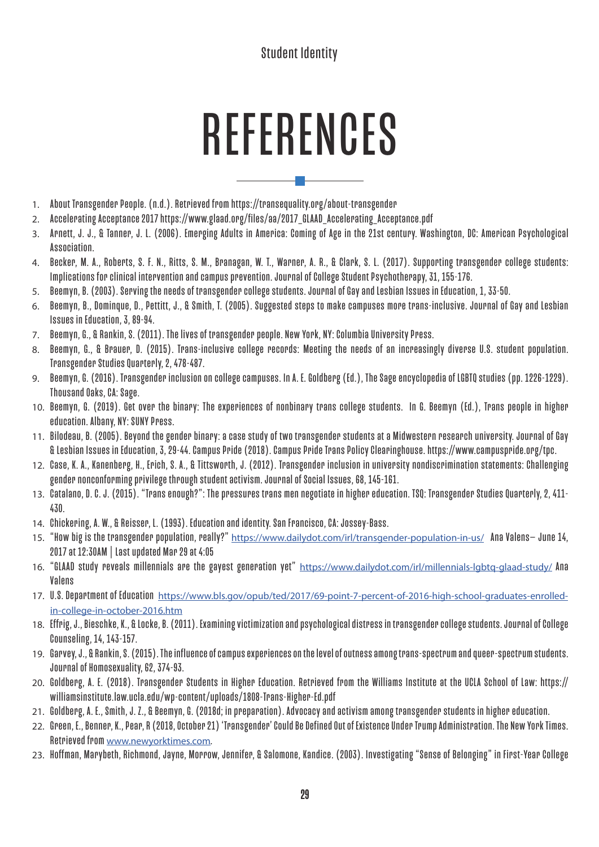# REFERENCES

- 1. About Transgender People. (n.d.). Retrieved from https://transequality.org/about-transgender
- 2. Accelerating Acceptance 2017 https://www.glaad.org/files/aa/2017\_GLAAD\_Accelerating\_Acceptance.pdf
- 3. Arnett, J. J., & Tanner, J. L. (2006). Emerging Adults in America: Coming of Age in the 21st century. Washington, DC: American Psychological Association.
- 4. Becker, M. A., Roberts, S. F. N., Ritts, S. M., Branagan, W. T., Warner, A. R., & Clark, S. L. (2017). Supporting transgender college students: Implications for clinical intervention and campus prevention. Journal of College Student Psychotherapy, 31, 155-176.
- 5. Beemyn, B. (2003). Serving the needs of transgender college students. Journal of Gay and Lesbian Issues in Education, 1, 33-50.
- 6. Beemyn, B., Dominque, D., Pettitt, J., & Smith, T. (2005). Suggested steps to make campuses more trans-inclusive. Journal of Gay and Lesbian Issues in Education, 3, 89-94.
- 7. Beemyn, G., & Rankin, S. (2011). The lives of transgender people. New York, NY: Columbia University Press.
- 8. Beemyn, G., & Brauer, D. (2015). Trans-inclusive college records: Meeting the needs of an increasingly diverse U.S. student population. Transgender Studies Quarterly, 2, 478-487.
- 9. Beemyn, G. (2016). Transgender inclusion on college campuses. In A. E. Goldberg (Ed.), The Sage encyclopedia of LGBTQ studies (pp. 1226-1229). Thousand Oaks, CA: Sage.
- 10. Beemyn, G. (2019). Get over the binary: The experiences of nonbinary trans college students. In G. Beemyn (Ed.), Trans people in higher education. Albany, NY: SUNY Press.
- 11. Bilodeau, B. (2005). Beyond the gender binary: a case study of two transgender students at a Midwestern research university. Journal of Gay & Lesbian Issues in Education, 3, 29-44. Campus Pride (2018). Campus Pride Trans Policy Clearinghouse. https://www.campuspride.org/tpc.
- 12. Case, K. A., Kanenberg, H., Erich, S. A., & Tittsworth, J. (2012). Transgender inclusion in university nondiscrimination statements: Challenging gender nonconforming privilege through student activism. Journal of Social Issues, 68, 145-161.
- 13. Catalano, D. C. J. (2015). "Trans enough?": The pressures trans men negotiate in higher education. TSQ: Transgender Studies Quarterly, 2, 411- 430.
- 14. Chickering, A. W., & Reisser, L. (1993). Education and identity. San Francisco, CA: Jossey-Bass.
- 15. "How big is the transgender population, really?" https://www.dailydot.com/irl/transgender-population-in-us/ Ana Valens-June 14, 2017 at 12:30AM | Last updated Mar 29 at 4:05
- 16. "GLAAD study reveals millennials are the gayest generation yet" https://www.dailydot.com/irl/millennials-lgbtq-glaad-study/ Ana Valens
- 17. U.S. Department of Education https://www.bls.gov/opub/ted/2017/69-point-7-percent-of-2016-high-school-graduates-enrolledin-college-in-october-2016.htm
- 18. Effrig, J., Bieschke, K., & Locke, B. (2011). Examining victimization and psychological distress in transgender college students. Journal of College Counseling, 14, 143-157.
- 19. Garvey, J., & Rankin, S. (2015). The influence of campus experiences on the level of outness among trans-spectrum and queer-spectrum students. Journal of Homosexuality, 62, 374-93.
- 20. Goldberg, A. E. (2018). Transgender Students in Higher Education. Retrieved from the Williams Institute at the UCLA School of Law: https:// williamsinstitute.law.ucla.edu/wp-content/uploads/1808-Trans-Higher-Ed.pdf
- 21. Goldberg, A. E., Smith, J. Z., & Beemyn, G. (2018d; in preparation). Advocacy and activism among transgender students in higher education.
- 22. Green, E., Benner, K., Pear, R (2018, October 21) 'Transgender' Could Be Defined Out of Existence Under Trump Administration. The New York Times. Retrieved from www.newyorktimes.com.
- 23. Hoffman, Marybeth, Richmond, Jayne, Morrow, Jennifer, & Salomone, Kandice. (2003). Investigating "Sense of Belonging " in First-Year College